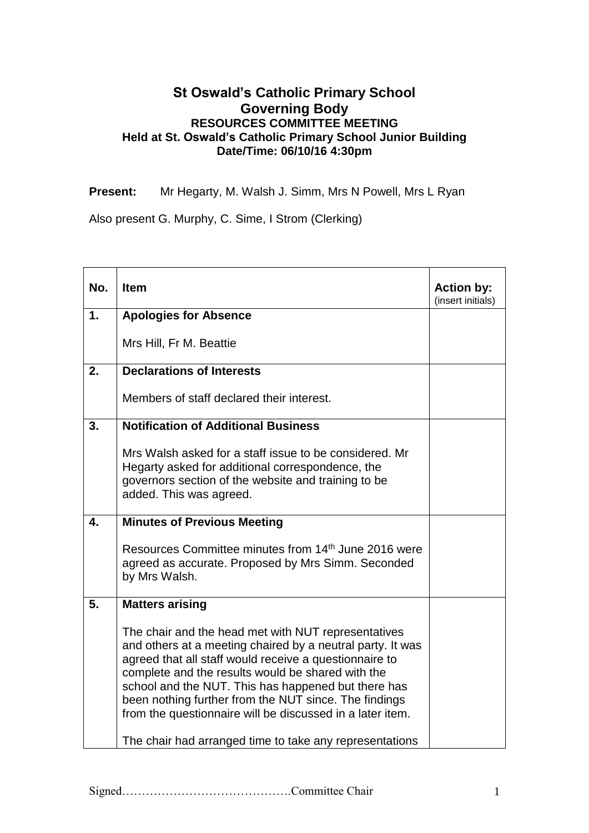## **St Oswald's Catholic Primary School Governing Body RESOURCES COMMITTEE MEETING Held at St. Oswald's Catholic Primary School Junior Building Date/Time: 06/10/16 4:30pm**

**Present:** Mr Hegarty, M. Walsh J. Simm, Mrs N Powell, Mrs L Ryan

Also present G. Murphy, C. Sime, I Strom (Clerking)

| No. | <b>Item</b>                                                                                                                                                                                                                                                                                                                                                                                                   | <b>Action by:</b><br>(insert initials) |
|-----|---------------------------------------------------------------------------------------------------------------------------------------------------------------------------------------------------------------------------------------------------------------------------------------------------------------------------------------------------------------------------------------------------------------|----------------------------------------|
| 1.  | <b>Apologies for Absence</b>                                                                                                                                                                                                                                                                                                                                                                                  |                                        |
|     | Mrs Hill, Fr M. Beattie                                                                                                                                                                                                                                                                                                                                                                                       |                                        |
| 2.  | <b>Declarations of Interests</b>                                                                                                                                                                                                                                                                                                                                                                              |                                        |
|     | Members of staff declared their interest.                                                                                                                                                                                                                                                                                                                                                                     |                                        |
| 3.  | <b>Notification of Additional Business</b>                                                                                                                                                                                                                                                                                                                                                                    |                                        |
|     | Mrs Walsh asked for a staff issue to be considered. Mr<br>Hegarty asked for additional correspondence, the<br>governors section of the website and training to be<br>added. This was agreed.                                                                                                                                                                                                                  |                                        |
| 4.  | <b>Minutes of Previous Meeting</b>                                                                                                                                                                                                                                                                                                                                                                            |                                        |
|     | Resources Committee minutes from 14 <sup>th</sup> June 2016 were<br>agreed as accurate. Proposed by Mrs Simm. Seconded<br>by Mrs Walsh.                                                                                                                                                                                                                                                                       |                                        |
| 5.  | <b>Matters arising</b>                                                                                                                                                                                                                                                                                                                                                                                        |                                        |
|     | The chair and the head met with NUT representatives<br>and others at a meeting chaired by a neutral party. It was<br>agreed that all staff would receive a questionnaire to<br>complete and the results would be shared with the<br>school and the NUT. This has happened but there has<br>been nothing further from the NUT since. The findings<br>from the questionnaire will be discussed in a later item. |                                        |
|     | The chair had arranged time to take any representations                                                                                                                                                                                                                                                                                                                                                       |                                        |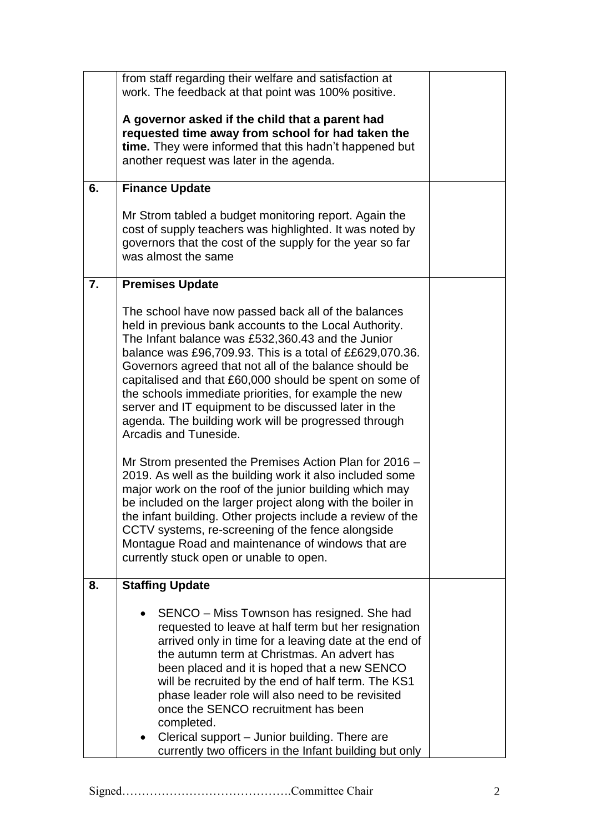|    | from staff regarding their welfare and satisfaction at                                                                                                                                                                                                                                                                                                                                                                                                                                                                                                                                                                                                                      |  |
|----|-----------------------------------------------------------------------------------------------------------------------------------------------------------------------------------------------------------------------------------------------------------------------------------------------------------------------------------------------------------------------------------------------------------------------------------------------------------------------------------------------------------------------------------------------------------------------------------------------------------------------------------------------------------------------------|--|
|    | work. The feedback at that point was 100% positive.                                                                                                                                                                                                                                                                                                                                                                                                                                                                                                                                                                                                                         |  |
|    | A governor asked if the child that a parent had<br>requested time away from school for had taken the<br>time. They were informed that this hadn't happened but<br>another request was later in the agenda.                                                                                                                                                                                                                                                                                                                                                                                                                                                                  |  |
| 6. | <b>Finance Update</b>                                                                                                                                                                                                                                                                                                                                                                                                                                                                                                                                                                                                                                                       |  |
|    | Mr Strom tabled a budget monitoring report. Again the<br>cost of supply teachers was highlighted. It was noted by<br>governors that the cost of the supply for the year so far<br>was almost the same                                                                                                                                                                                                                                                                                                                                                                                                                                                                       |  |
| 7. | <b>Premises Update</b>                                                                                                                                                                                                                                                                                                                                                                                                                                                                                                                                                                                                                                                      |  |
|    | The school have now passed back all of the balances<br>held in previous bank accounts to the Local Authority.<br>The Infant balance was £532,360.43 and the Junior<br>balance was £96,709.93. This is a total of ££629,070.36.<br>Governors agreed that not all of the balance should be<br>capitalised and that £60,000 should be spent on some of<br>the schools immediate priorities, for example the new<br>server and IT equipment to be discussed later in the<br>agenda. The building work will be progressed through<br>Arcadis and Tuneside.<br>Mr Strom presented the Premises Action Plan for 2016 -<br>2019. As well as the building work it also included some |  |
|    | major work on the roof of the junior building which may<br>be included on the larger project along with the boiler in<br>the infant building. Other projects include a review of the<br>CCTV systems, re-screening of the fence alongside<br>Montague Road and maintenance of windows that are<br>currently stuck open or unable to open.                                                                                                                                                                                                                                                                                                                                   |  |
| 8. | <b>Staffing Update</b>                                                                                                                                                                                                                                                                                                                                                                                                                                                                                                                                                                                                                                                      |  |
|    | SENCO – Miss Townson has resigned. She had<br>requested to leave at half term but her resignation<br>arrived only in time for a leaving date at the end of<br>the autumn term at Christmas. An advert has<br>been placed and it is hoped that a new SENCO<br>will be recruited by the end of half term. The KS1<br>phase leader role will also need to be revisited<br>once the SENCO recruitment has been<br>completed.<br>Clerical support - Junior building. There are<br>$\bullet$<br>currently two officers in the Infant building but only                                                                                                                            |  |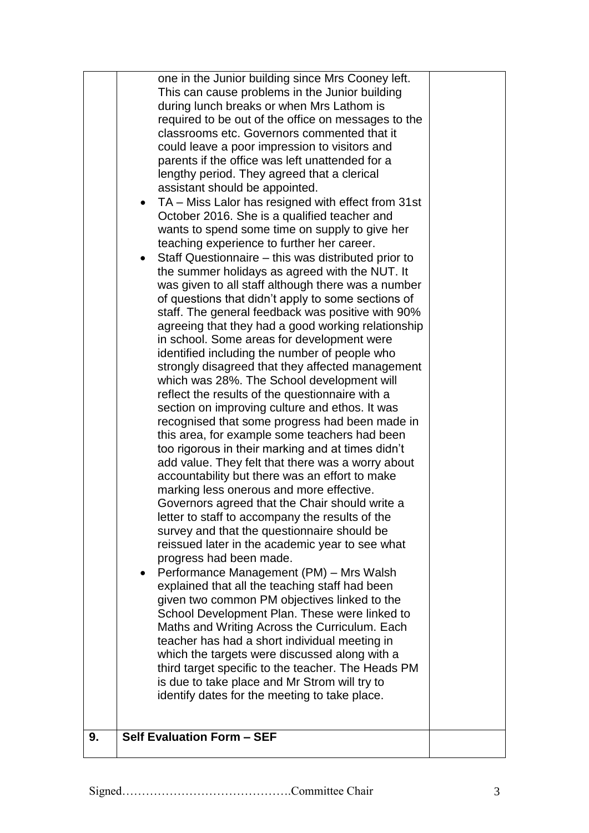| 9. | one in the Junior building since Mrs Cooney left.<br>This can cause problems in the Junior building<br>during lunch breaks or when Mrs Lathom is<br>required to be out of the office on messages to the<br>classrooms etc. Governors commented that it<br>could leave a poor impression to visitors and<br>parents if the office was left unattended for a<br>lengthy period. They agreed that a clerical<br>assistant should be appointed.<br>TA - Miss Lalor has resigned with effect from 31st<br>October 2016. She is a qualified teacher and<br>wants to spend some time on supply to give her<br>teaching experience to further her career.<br>Staff Questionnaire – this was distributed prior to<br>$\bullet$<br>the summer holidays as agreed with the NUT. It<br>was given to all staff although there was a number<br>of questions that didn't apply to some sections of<br>staff. The general feedback was positive with 90%<br>agreeing that they had a good working relationship<br>in school. Some areas for development were<br>identified including the number of people who<br>strongly disagreed that they affected management<br>which was 28%. The School development will<br>reflect the results of the questionnaire with a<br>section on improving culture and ethos. It was<br>recognised that some progress had been made in<br>this area, for example some teachers had been<br>too rigorous in their marking and at times didn't<br>add value. They felt that there was a worry about<br>accountability but there was an effort to make<br>marking less onerous and more effective.<br>Governors agreed that the Chair should write a<br>letter to staff to accompany the results of the<br>survey and that the questionnaire should be<br>reissued later in the academic year to see what<br>progress had been made.<br>Performance Management (PM) - Mrs Walsh<br>$\bullet$<br>explained that all the teaching staff had been<br>given two common PM objectives linked to the<br>School Development Plan. These were linked to<br>Maths and Writing Across the Curriculum. Each<br>teacher has had a short individual meeting in<br>which the targets were discussed along with a<br>third target specific to the teacher. The Heads PM<br>is due to take place and Mr Strom will try to<br>identify dates for the meeting to take place.<br>Self Evaluation Form - SEF |  |
|----|-------------------------------------------------------------------------------------------------------------------------------------------------------------------------------------------------------------------------------------------------------------------------------------------------------------------------------------------------------------------------------------------------------------------------------------------------------------------------------------------------------------------------------------------------------------------------------------------------------------------------------------------------------------------------------------------------------------------------------------------------------------------------------------------------------------------------------------------------------------------------------------------------------------------------------------------------------------------------------------------------------------------------------------------------------------------------------------------------------------------------------------------------------------------------------------------------------------------------------------------------------------------------------------------------------------------------------------------------------------------------------------------------------------------------------------------------------------------------------------------------------------------------------------------------------------------------------------------------------------------------------------------------------------------------------------------------------------------------------------------------------------------------------------------------------------------------------------------------------------------------------------------------------------------------------------------------------------------------------------------------------------------------------------------------------------------------------------------------------------------------------------------------------------------------------------------------------------------------------------------------------------------------------------------------------------------------------------------------------------------------------------------------------|--|
|    |                                                                                                                                                                                                                                                                                                                                                                                                                                                                                                                                                                                                                                                                                                                                                                                                                                                                                                                                                                                                                                                                                                                                                                                                                                                                                                                                                                                                                                                                                                                                                                                                                                                                                                                                                                                                                                                                                                                                                                                                                                                                                                                                                                                                                                                                                                                                                                                                       |  |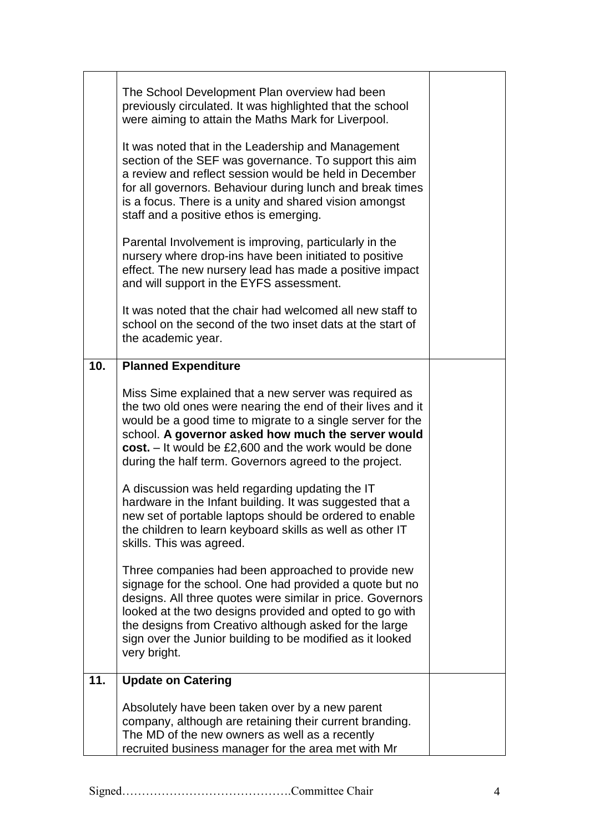|     | The School Development Plan overview had been<br>previously circulated. It was highlighted that the school<br>were aiming to attain the Maths Mark for Liverpool.<br>It was noted that in the Leadership and Management<br>section of the SEF was governance. To support this aim<br>a review and reflect session would be held in December<br>for all governors. Behaviour during lunch and break times<br>is a focus. There is a unity and shared vision amongst<br>staff and a positive ethos is emerging.<br>Parental Involvement is improving, particularly in the<br>nursery where drop-ins have been initiated to positive<br>effect. The new nursery lead has made a positive impact<br>and will support in the EYFS assessment.<br>It was noted that the chair had welcomed all new staff to<br>school on the second of the two inset dats at the start of |  |
|-----|---------------------------------------------------------------------------------------------------------------------------------------------------------------------------------------------------------------------------------------------------------------------------------------------------------------------------------------------------------------------------------------------------------------------------------------------------------------------------------------------------------------------------------------------------------------------------------------------------------------------------------------------------------------------------------------------------------------------------------------------------------------------------------------------------------------------------------------------------------------------|--|
|     | the academic year.                                                                                                                                                                                                                                                                                                                                                                                                                                                                                                                                                                                                                                                                                                                                                                                                                                                  |  |
| 10. | <b>Planned Expenditure</b>                                                                                                                                                                                                                                                                                                                                                                                                                                                                                                                                                                                                                                                                                                                                                                                                                                          |  |
|     | Miss Sime explained that a new server was required as<br>the two old ones were nearing the end of their lives and it<br>would be a good time to migrate to a single server for the<br>school. A governor asked how much the server would<br>cost. $-$ It would be £2,600 and the work would be done<br>during the half term. Governors agreed to the project.                                                                                                                                                                                                                                                                                                                                                                                                                                                                                                       |  |
|     | A discussion was held regarding updating the IT<br>hardware in the Infant building. It was suggested that a<br>new set of portable laptops should be ordered to enable<br>the children to learn keyboard skills as well as other IT<br>skills. This was agreed.                                                                                                                                                                                                                                                                                                                                                                                                                                                                                                                                                                                                     |  |
|     | Three companies had been approached to provide new<br>signage for the school. One had provided a quote but no<br>designs. All three quotes were similar in price. Governors<br>looked at the two designs provided and opted to go with<br>the designs from Creativo although asked for the large<br>sign over the Junior building to be modified as it looked<br>very bright.                                                                                                                                                                                                                                                                                                                                                                                                                                                                                       |  |
| 11. | <b>Update on Catering</b>                                                                                                                                                                                                                                                                                                                                                                                                                                                                                                                                                                                                                                                                                                                                                                                                                                           |  |
|     | Absolutely have been taken over by a new parent<br>company, although are retaining their current branding.<br>The MD of the new owners as well as a recently<br>recruited business manager for the area met with Mr                                                                                                                                                                                                                                                                                                                                                                                                                                                                                                                                                                                                                                                 |  |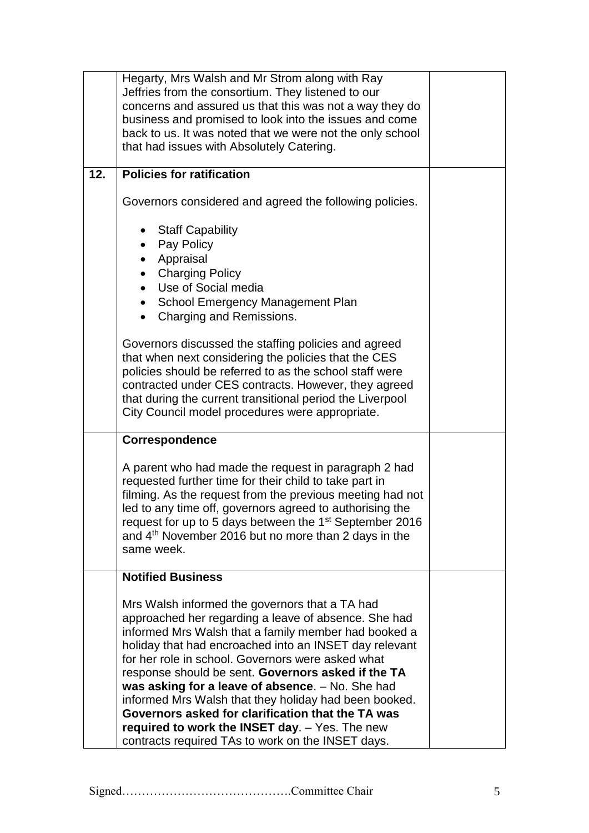|     | Hegarty, Mrs Walsh and Mr Strom along with Ray<br>Jeffries from the consortium. They listened to our<br>concerns and assured us that this was not a way they do<br>business and promised to look into the issues and come<br>back to us. It was noted that we were not the only school<br>that had issues with Absolutely Catering.                                                                                                                                                                                                                                                                          |  |
|-----|--------------------------------------------------------------------------------------------------------------------------------------------------------------------------------------------------------------------------------------------------------------------------------------------------------------------------------------------------------------------------------------------------------------------------------------------------------------------------------------------------------------------------------------------------------------------------------------------------------------|--|
| 12. | <b>Policies for ratification</b>                                                                                                                                                                                                                                                                                                                                                                                                                                                                                                                                                                             |  |
|     | Governors considered and agreed the following policies.                                                                                                                                                                                                                                                                                                                                                                                                                                                                                                                                                      |  |
|     | <b>Staff Capability</b><br>Pay Policy<br>Appraisal<br><b>Charging Policy</b><br>$\bullet$<br>Use of Social media<br>School Emergency Management Plan<br>Charging and Remissions.<br>$\bullet$                                                                                                                                                                                                                                                                                                                                                                                                                |  |
|     | Governors discussed the staffing policies and agreed<br>that when next considering the policies that the CES<br>policies should be referred to as the school staff were<br>contracted under CES contracts. However, they agreed<br>that during the current transitional period the Liverpool<br>City Council model procedures were appropriate.                                                                                                                                                                                                                                                              |  |
|     | Correspondence                                                                                                                                                                                                                                                                                                                                                                                                                                                                                                                                                                                               |  |
|     | A parent who had made the request in paragraph 2 had<br>requested further time for their child to take part in<br>filming. As the request from the previous meeting had not<br>led to any time off, governors agreed to authorising the<br>request for up to 5 days between the 1 <sup>st</sup> September 2016<br>and 4 <sup>th</sup> November 2016 but no more than 2 days in the<br>same week.                                                                                                                                                                                                             |  |
|     | <b>Notified Business</b>                                                                                                                                                                                                                                                                                                                                                                                                                                                                                                                                                                                     |  |
|     | Mrs Walsh informed the governors that a TA had<br>approached her regarding a leave of absence. She had<br>informed Mrs Walsh that a family member had booked a<br>holiday that had encroached into an INSET day relevant<br>for her role in school. Governors were asked what<br>response should be sent. Governors asked if the TA<br>was asking for a leave of absence. - No. She had<br>informed Mrs Walsh that they holiday had been booked.<br>Governors asked for clarification that the TA was<br>required to work the INSET day. - Yes. The new<br>contracts required TAs to work on the INSET days. |  |